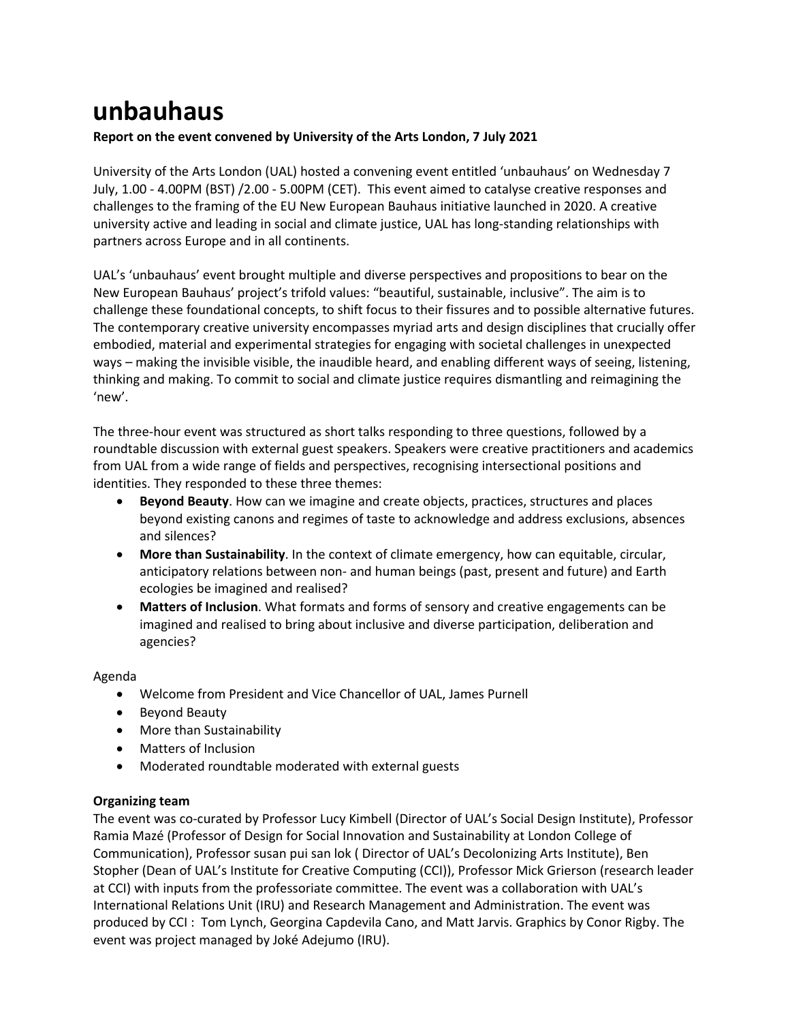# **unbauhaus**

# **Report on the event convened by University of the Arts London, 7 July 2021**

University of the Arts London (UAL) hosted a convening event entitled 'unbauhaus' on Wednesday 7 July, 1.00 - 4.00PM (BST) /2.00 - 5.00PM (CET). This event aimed to catalyse creative responses and challenges to the framing of the EU New European Bauhaus initiative launched in 2020. A creative university active and leading in social and climate justice, UAL has long-standing relationships with partners across Europe and in all continents.

UAL's 'unbauhaus' event brought multiple and diverse perspectives and propositions to bear on the New European Bauhaus' project's trifold values: "beautiful, sustainable, inclusive". The aim is to challenge these foundational concepts, to shift focus to their fissures and to possible alternative futures. The contemporary creative university encompasses myriad arts and design disciplines that crucially offer embodied, material and experimental strategies for engaging with societal challenges in unexpected ways – making the invisible visible, the inaudible heard, and enabling different ways of seeing, listening, thinking and making. To commit to social and climate justice requires dismantling and reimagining the 'new'.

The three-hour event was structured as short talks responding to three questions, followed by a roundtable discussion with external guest speakers. Speakers were creative practitioners and academics from UAL from a wide range of fields and perspectives, recognising intersectional positions and identities. They responded to these three themes:

- **Beyond Beauty**. How can we imagine and create objects, practices, structures and places beyond existing canons and regimes of taste to acknowledge and address exclusions, absences and silences?
- **More than Sustainability**. In the context of climate emergency, how can equitable, circular, anticipatory relations between non- and human beings (past, present and future) and Earth ecologies be imagined and realised?
- **Matters of Inclusion**. What formats and forms of sensory and creative engagements can be imagined and realised to bring about inclusive and diverse participation, deliberation and agencies?

# Agenda

- Welcome from President and Vice Chancellor of UAL, James Purnell
- Beyond Beauty
- More than Sustainability
- Matters of Inclusion
- Moderated roundtable moderated with external guests

# **Organizing team**

The event was co-curated by Professor Lucy Kimbell (Director of UAL's Social Design Institute), Professor Ramia Mazé (Professor of Design for Social Innovation and Sustainability at London College of Communication), Professor susan pui san lok ( Director of UAL's Decolonizing Arts Institute), Ben Stopher (Dean of UAL's Institute for Creative Computing (CCI)), Professor Mick Grierson (research leader at CCI) with inputs from the professoriate committee. The event was a collaboration with UAL's International Relations Unit (IRU) and Research Management and Administration. The event was produced by CCI : Tom Lynch, Georgina Capdevila Cano, and Matt Jarvis. Graphics by Conor Rigby. The event was project managed by Joké Adejumo (IRU).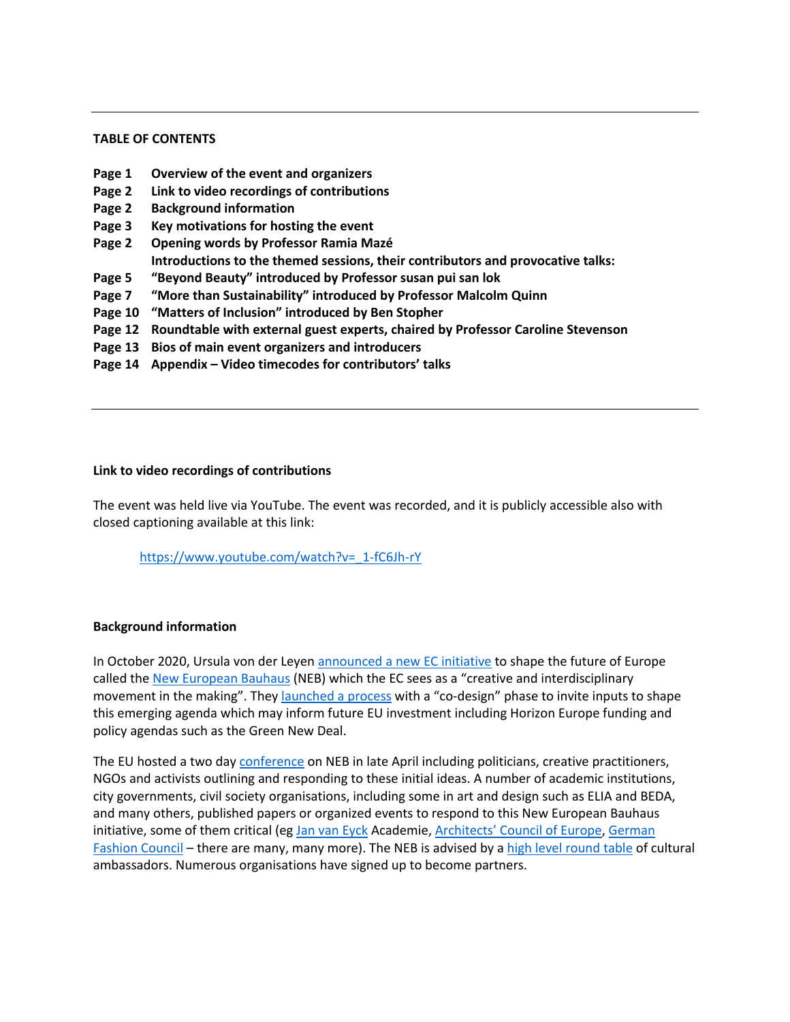#### **TABLE OF CONTENTS**

- **Page 1 Overview of the event and organizers**
- **Page 2 Link to video recordings of contributions**
- **Page 2 Background information**
- **Page 3 Key motivations for hosting the event**
- **Page 2 Opening words by Professor Ramia Mazé Introductions to the themed sessions, their contributors and provocative talks:**
- **Page 5 "Beyond Beauty" introduced by Professor susan pui san lok**
- **Page 7 "More than Sustainability" introduced by Professor Malcolm Quinn**
- **Page 10 "Matters of Inclusion" introduced by Ben Stopher**
- **Page 12 Roundtable with external guest experts, chaired by Professor Caroline Stevenson**
- **Page 13 Bios of main event organizers and introducers**
- **Page 14 Appendix – Video timecodes for contributors' talks**

#### **Link to video recordings of contributions**

The event was held live via YouTube. The event was recorded, and it is publicly accessible also with closed captioning available at this link:

https://www.youtube.com/watch?v=\_1-fC6Jh-rY

#### **Background information**

In October 2020, Ursula von der Leyen announced a new EC initiative to shape the future of Europe called the New European Bauhaus (NEB) which the EC sees as a "creative and interdisciplinary movement in the making". They launched a process with a "co-design" phase to invite inputs to shape this emerging agenda which may inform future EU investment including Horizon Europe funding and policy agendas such as the Green New Deal.

The EU hosted a two day conference on NEB in late April including politicians, creative practitioners, NGOs and activists outlining and responding to these initial ideas. A number of academic institutions, city governments, civil society organisations, including some in art and design such as ELIA and BEDA, and many others, published papers or organized events to respond to this New European Bauhaus initiative, some of them critical (eg Jan van Eyck Academie, Architects' Council of Europe, German Fashion Council – there are many, many more). The NEB is advised by a high level round table of cultural ambassadors. Numerous organisations have signed up to become partners.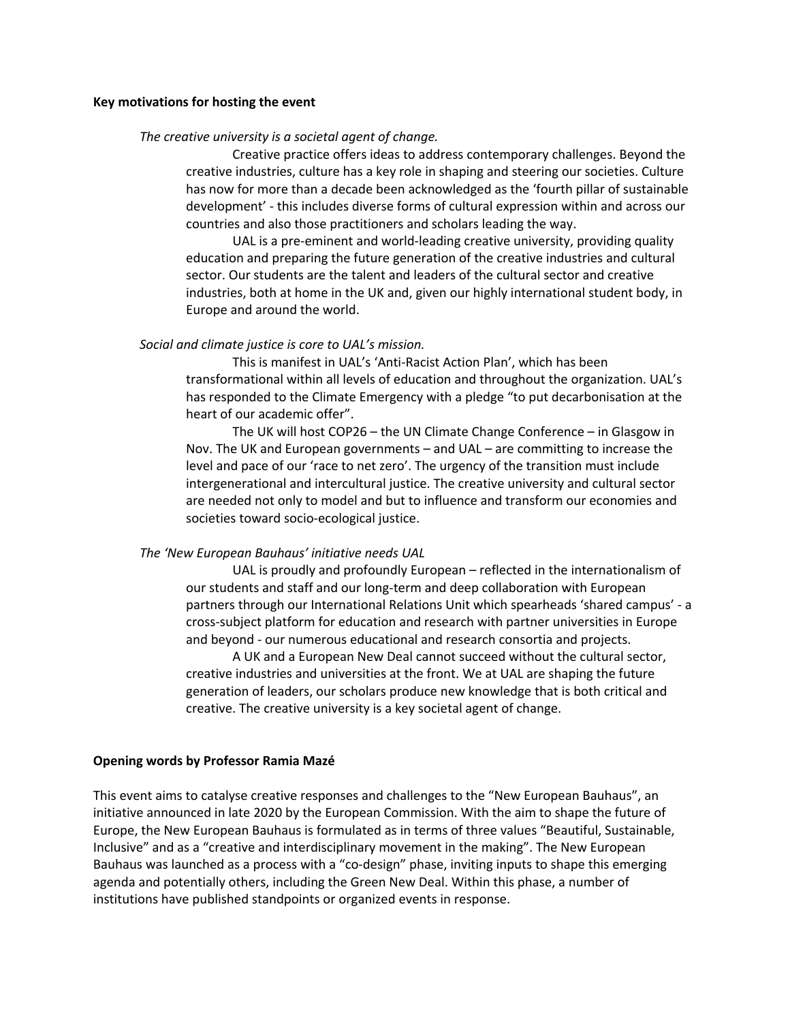#### **Key motivations for hosting the event**

#### *The creative university is a societal agent of change.*

Creative practice offers ideas to address contemporary challenges. Beyond the creative industries, culture has a key role in shaping and steering our societies. Culture has now for more than a decade been acknowledged as the 'fourth pillar of sustainable development' - this includes diverse forms of cultural expression within and across our countries and also those practitioners and scholars leading the way.

UAL is a pre-eminent and world-leading creative university, providing quality education and preparing the future generation of the creative industries and cultural sector. Our students are the talent and leaders of the cultural sector and creative industries, both at home in the UK and, given our highly international student body, in Europe and around the world.

#### *Social and climate justice is core to UAL's mission.*

This is manifest in UAL's 'Anti-Racist Action Plan', which has been transformational within all levels of education and throughout the organization. UAL's has responded to the Climate Emergency with a pledge "to put decarbonisation at the heart of our academic offer".

The UK will host COP26 – the UN Climate Change Conference – in Glasgow in Nov. The UK and European governments – and UAL – are committing to increase the level and pace of our 'race to net zero'. The urgency of the transition must include intergenerational and intercultural justice. The creative university and cultural sector are needed not only to model and but to influence and transform our economies and societies toward socio-ecological justice.

#### *The 'New European Bauhaus' initiative needs UAL*

UAL is proudly and profoundly European – reflected in the internationalism of our students and staff and our long-term and deep collaboration with European partners through our International Relations Unit which spearheads 'shared campus' - a cross-subject platform for education and research with partner universities in Europe and beyond - our numerous educational and research consortia and projects.

A UK and a European New Deal cannot succeed without the cultural sector, creative industries and universities at the front. We at UAL are shaping the future generation of leaders, our scholars produce new knowledge that is both critical and creative. The creative university is a key societal agent of change.

#### **Opening words by Professor Ramia Mazé**

This event aims to catalyse creative responses and challenges to the "New European Bauhaus", an initiative announced in late 2020 by the European Commission. With the aim to shape the future of Europe, the New European Bauhaus is formulated as in terms of three values "Beautiful, Sustainable, Inclusive" and as a "creative and interdisciplinary movement in the making". The New European Bauhaus was launched as a process with a "co-design" phase, inviting inputs to shape this emerging agenda and potentially others, including the Green New Deal. Within this phase, a number of institutions have published standpoints or organized events in response.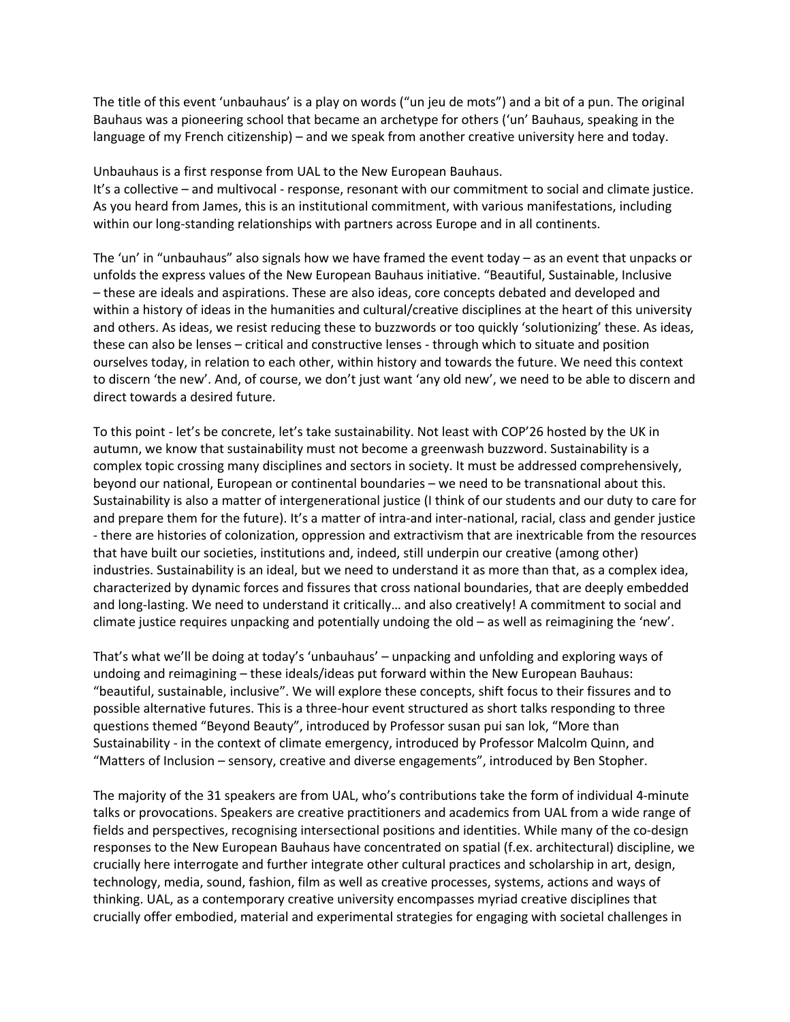The title of this event 'unbauhaus' is a play on words ("un jeu de mots") and a bit of a pun. The original Bauhaus was a pioneering school that became an archetype for others ('un' Bauhaus, speaking in the language of my French citizenship) – and we speak from another creative university here and today.

Unbauhaus is a first response from UAL to the New European Bauhaus.

It's a collective – and multivocal - response, resonant with our commitment to social and climate justice. As you heard from James, this is an institutional commitment, with various manifestations, including within our long-standing relationships with partners across Europe and in all continents.

The 'un' in "unbauhaus" also signals how we have framed the event today – as an event that unpacks or unfolds the express values of the New European Bauhaus initiative. "Beautiful, Sustainable, Inclusive – these are ideals and aspirations. These are also ideas, core concepts debated and developed and within a history of ideas in the humanities and cultural/creative disciplines at the heart of this university and others. As ideas, we resist reducing these to buzzwords or too quickly 'solutionizing' these. As ideas, these can also be lenses – critical and constructive lenses - through which to situate and position ourselves today, in relation to each other, within history and towards the future. We need this context to discern 'the new'. And, of course, we don't just want 'any old new', we need to be able to discern and direct towards a desired future.

To this point - let's be concrete, let's take sustainability. Not least with COP'26 hosted by the UK in autumn, we know that sustainability must not become a greenwash buzzword. Sustainability is a complex topic crossing many disciplines and sectors in society. It must be addressed comprehensively, beyond our national, European or continental boundaries – we need to be transnational about this. Sustainability is also a matter of intergenerational justice (I think of our students and our duty to care for and prepare them for the future). It's a matter of intra-and inter-national, racial, class and gender justice - there are histories of colonization, oppression and extractivism that are inextricable from the resources that have built our societies, institutions and, indeed, still underpin our creative (among other) industries. Sustainability is an ideal, but we need to understand it as more than that, as a complex idea, characterized by dynamic forces and fissures that cross national boundaries, that are deeply embedded and long-lasting. We need to understand it critically… and also creatively! A commitment to social and climate justice requires unpacking and potentially undoing the old – as well as reimagining the 'new'.

That's what we'll be doing at today's 'unbauhaus' – unpacking and unfolding and exploring ways of undoing and reimagining – these ideals/ideas put forward within the New European Bauhaus: "beautiful, sustainable, inclusive". We will explore these concepts, shift focus to their fissures and to possible alternative futures. This is a three-hour event structured as short talks responding to three questions themed "Beyond Beauty", introduced by Professor susan pui san lok, "More than Sustainability - in the context of climate emergency, introduced by Professor Malcolm Quinn, and "Matters of Inclusion – sensory, creative and diverse engagements", introduced by Ben Stopher.

The majority of the 31 speakers are from UAL, who's contributions take the form of individual 4-minute talks or provocations. Speakers are creative practitioners and academics from UAL from a wide range of fields and perspectives, recognising intersectional positions and identities. While many of the co-design responses to the New European Bauhaus have concentrated on spatial (f.ex. architectural) discipline, we crucially here interrogate and further integrate other cultural practices and scholarship in art, design, technology, media, sound, fashion, film as well as creative processes, systems, actions and ways of thinking. UAL, as a contemporary creative university encompasses myriad creative disciplines that crucially offer embodied, material and experimental strategies for engaging with societal challenges in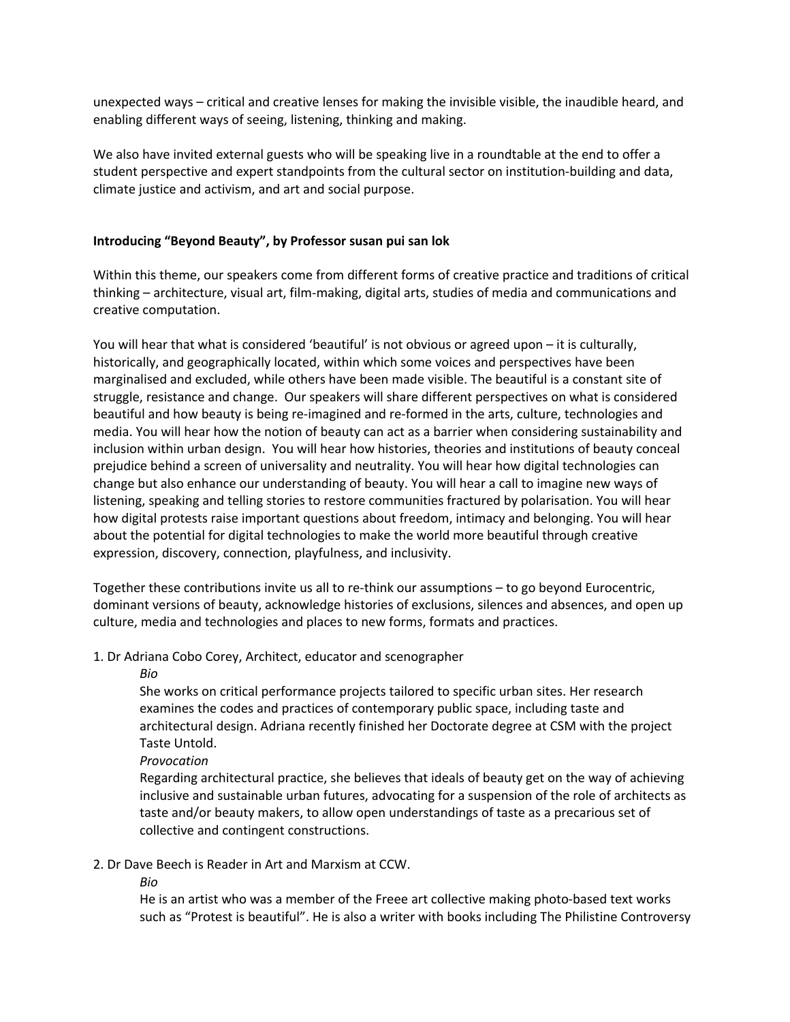unexpected ways – critical and creative lenses for making the invisible visible, the inaudible heard, and enabling different ways of seeing, listening, thinking and making.

We also have invited external guests who will be speaking live in a roundtable at the end to offer a student perspective and expert standpoints from the cultural sector on institution-building and data, climate justice and activism, and art and social purpose.

# **Introducing "Beyond Beauty", by Professor susan pui san lok**

Within this theme, our speakers come from different forms of creative practice and traditions of critical thinking – architecture, visual art, film-making, digital arts, studies of media and communications and creative computation.

You will hear that what is considered 'beautiful' is not obvious or agreed upon – it is culturally, historically, and geographically located, within which some voices and perspectives have been marginalised and excluded, while others have been made visible. The beautiful is a constant site of struggle, resistance and change. Our speakers will share different perspectives on what is considered beautiful and how beauty is being re-imagined and re-formed in the arts, culture, technologies and media. You will hear how the notion of beauty can act as a barrier when considering sustainability and inclusion within urban design. You will hear how histories, theories and institutions of beauty conceal prejudice behind a screen of universality and neutrality. You will hear how digital technologies can change but also enhance our understanding of beauty. You will hear a call to imagine new ways of listening, speaking and telling stories to restore communities fractured by polarisation. You will hear how digital protests raise important questions about freedom, intimacy and belonging. You will hear about the potential for digital technologies to make the world more beautiful through creative expression, discovery, connection, playfulness, and inclusivity.

Together these contributions invite us all to re-think our assumptions – to go beyond Eurocentric, dominant versions of beauty, acknowledge histories of exclusions, silences and absences, and open up culture, media and technologies and places to new forms, formats and practices.

# 1. Dr Adriana Cobo Corey, Architect, educator and scenographer

*Bio* 

She works on critical performance projects tailored to specific urban sites. Her research examines the codes and practices of contemporary public space, including taste and architectural design. Adriana recently finished her Doctorate degree at CSM with the project Taste Untold.

*Provocation* 

Regarding architectural practice, she believes that ideals of beauty get on the way of achieving inclusive and sustainable urban futures, advocating for a suspension of the role of architects as taste and/or beauty makers, to allow open understandings of taste as a precarious set of collective and contingent constructions.

# 2. Dr Dave Beech is Reader in Art and Marxism at CCW.

*Bio* 

He is an artist who was a member of the Freee art collective making photo-based text works such as "Protest is beautiful". He is also a writer with books including The Philistine Controversy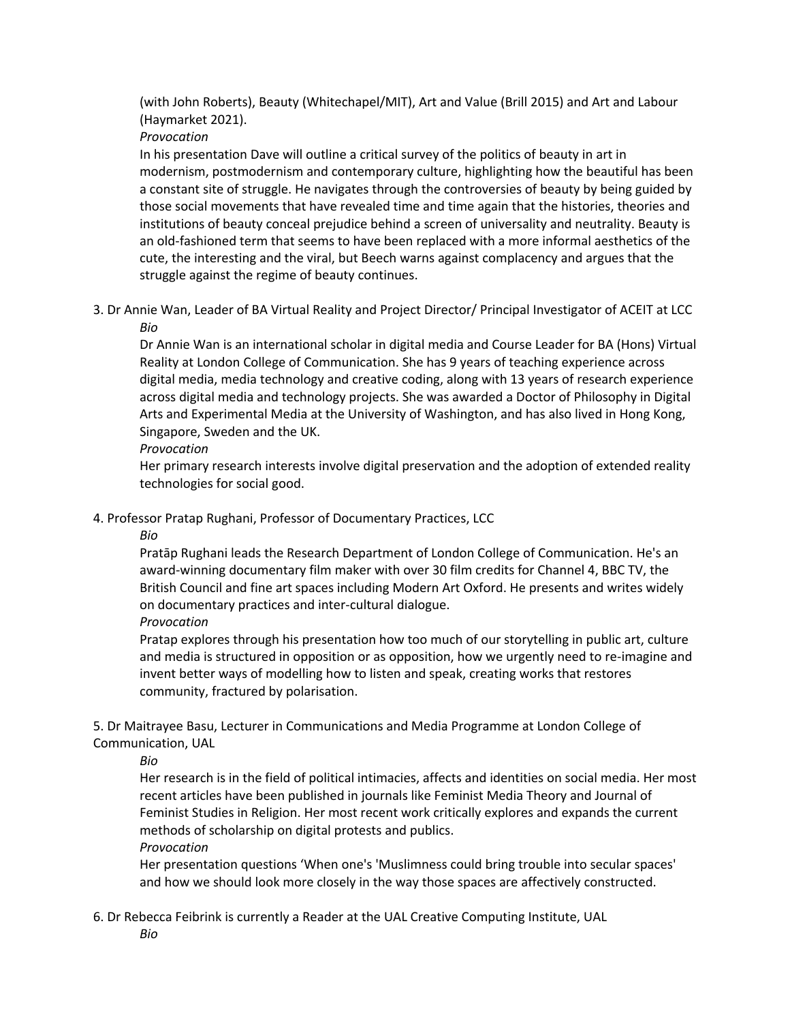(with John Roberts), Beauty (Whitechapel/MIT), Art and Value (Brill 2015) and Art and Labour (Haymarket 2021).

*Provocation* 

In his presentation Dave will outline a critical survey of the politics of beauty in art in modernism, postmodernism and contemporary culture, highlighting how the beautiful has been a constant site of struggle. He navigates through the controversies of beauty by being guided by those social movements that have revealed time and time again that the histories, theories and institutions of beauty conceal prejudice behind a screen of universality and neutrality. Beauty is an old-fashioned term that seems to have been replaced with a more informal aesthetics of the cute, the interesting and the viral, but Beech warns against complacency and argues that the struggle against the regime of beauty continues.

3. Dr Annie Wan, Leader of BA Virtual Reality and Project Director/ Principal Investigator of ACEIT at LCC *Bio* 

Dr Annie Wan is an international scholar in digital media and Course Leader for BA (Hons) Virtual Reality at London College of Communication. She has 9 years of teaching experience across digital media, media technology and creative coding, along with 13 years of research experience across digital media and technology projects. She was awarded a Doctor of Philosophy in Digital Arts and Experimental Media at the University of Washington, and has also lived in Hong Kong, Singapore, Sweden and the UK.

*Provocation*

Her primary research interests involve digital preservation and the adoption of extended reality technologies for social good.

4. Professor Pratap Rughani, Professor of Documentary Practices, LCC

*Bio* 

Pratāp Rughani leads the Research Department of London College of Communication. He's an award-winning documentary film maker with over 30 film credits for Channel 4, BBC TV, the British Council and fine art spaces including Modern Art Oxford. He presents and writes widely on documentary practices and inter-cultural dialogue.

*Provocation* 

Pratap explores through his presentation how too much of our storytelling in public art, culture and media is structured in opposition or as opposition, how we urgently need to re-imagine and invent better ways of modelling how to listen and speak, creating works that restores community, fractured by polarisation.

5. Dr Maitrayee Basu, Lecturer in Communications and Media Programme at London College of Communication, UAL

*Bio* 

Her research is in the field of political intimacies, affects and identities on social media. Her most recent articles have been published in journals like Feminist Media Theory and Journal of Feminist Studies in Religion. Her most recent work critically explores and expands the current methods of scholarship on digital protests and publics.

*Provocation* 

Her presentation questions 'When one's 'Muslimness could bring trouble into secular spaces' and how we should look more closely in the way those spaces are affectively constructed.

6. Dr Rebecca Feibrink is currently a Reader at the UAL Creative Computing Institute, UAL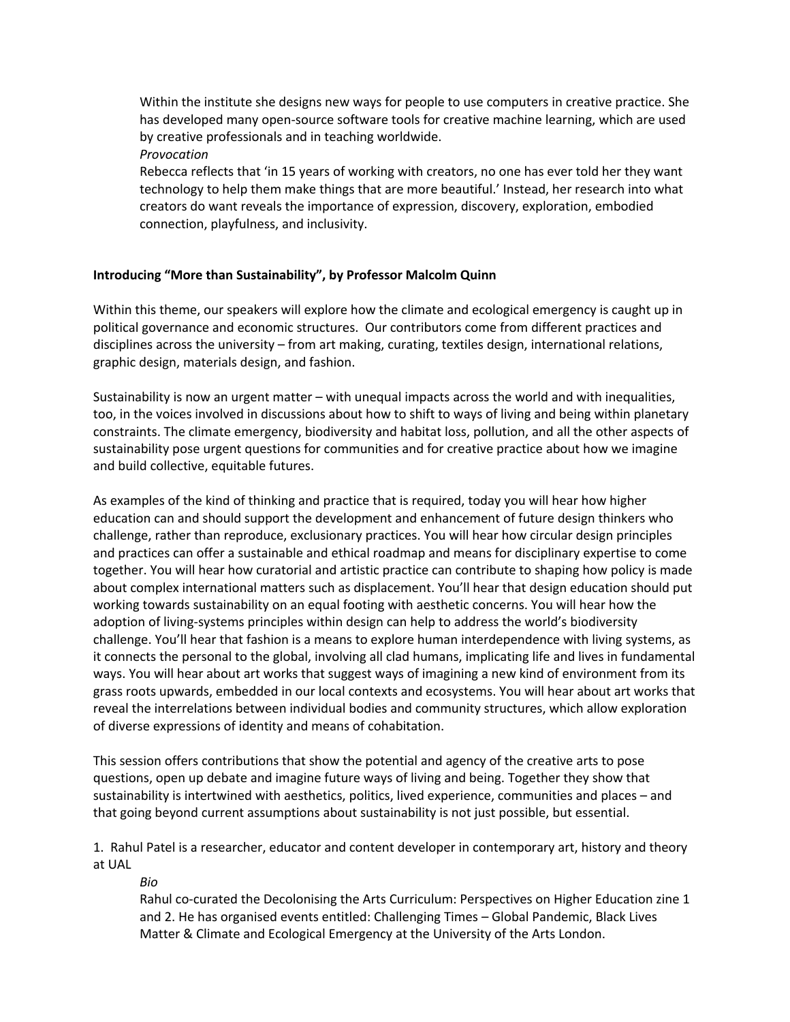Within the institute she designs new ways for people to use computers in creative practice. She has developed many open-source software tools for creative machine learning, which are used by creative professionals and in teaching worldwide.

*Provocation* 

Rebecca reflects that 'in 15 years of working with creators, no one has ever told her they want technology to help them make things that are more beautiful.' Instead, her research into what creators do want reveals the importance of expression, discovery, exploration, embodied connection, playfulness, and inclusivity.

# **Introducing "More than Sustainability", by Professor Malcolm Quinn**

Within this theme, our speakers will explore how the climate and ecological emergency is caught up in political governance and economic structures. Our contributors come from different practices and disciplines across the university – from art making, curating, textiles design, international relations, graphic design, materials design, and fashion.

Sustainability is now an urgent matter – with unequal impacts across the world and with inequalities, too, in the voices involved in discussions about how to shift to ways of living and being within planetary constraints. The climate emergency, biodiversity and habitat loss, pollution, and all the other aspects of sustainability pose urgent questions for communities and for creative practice about how we imagine and build collective, equitable futures.

As examples of the kind of thinking and practice that is required, today you will hear how higher education can and should support the development and enhancement of future design thinkers who challenge, rather than reproduce, exclusionary practices. You will hear how circular design principles and practices can offer a sustainable and ethical roadmap and means for disciplinary expertise to come together. You will hear how curatorial and artistic practice can contribute to shaping how policy is made about complex international matters such as displacement. You'll hear that design education should put working towards sustainability on an equal footing with aesthetic concerns. You will hear how the adoption of living-systems principles within design can help to address the world's biodiversity challenge. You'll hear that fashion is a means to explore human interdependence with living systems, as it connects the personal to the global, involving all clad humans, implicating life and lives in fundamental ways. You will hear about art works that suggest ways of imagining a new kind of environment from its grass roots upwards, embedded in our local contexts and ecosystems. You will hear about art works that reveal the interrelations between individual bodies and community structures, which allow exploration of diverse expressions of identity and means of cohabitation.

This session offers contributions that show the potential and agency of the creative arts to pose questions, open up debate and imagine future ways of living and being. Together they show that sustainability is intertwined with aesthetics, politics, lived experience, communities and places – and that going beyond current assumptions about sustainability is not just possible, but essential.

1. Rahul Patel is a researcher, educator and content developer in contemporary art, history and theory at UAL

*Bio* 

Rahul co-curated the Decolonising the Arts Curriculum: Perspectives on Higher Education zine 1 and 2. He has organised events entitled: Challenging Times – Global Pandemic, Black Lives Matter & Climate and Ecological Emergency at the University of the Arts London.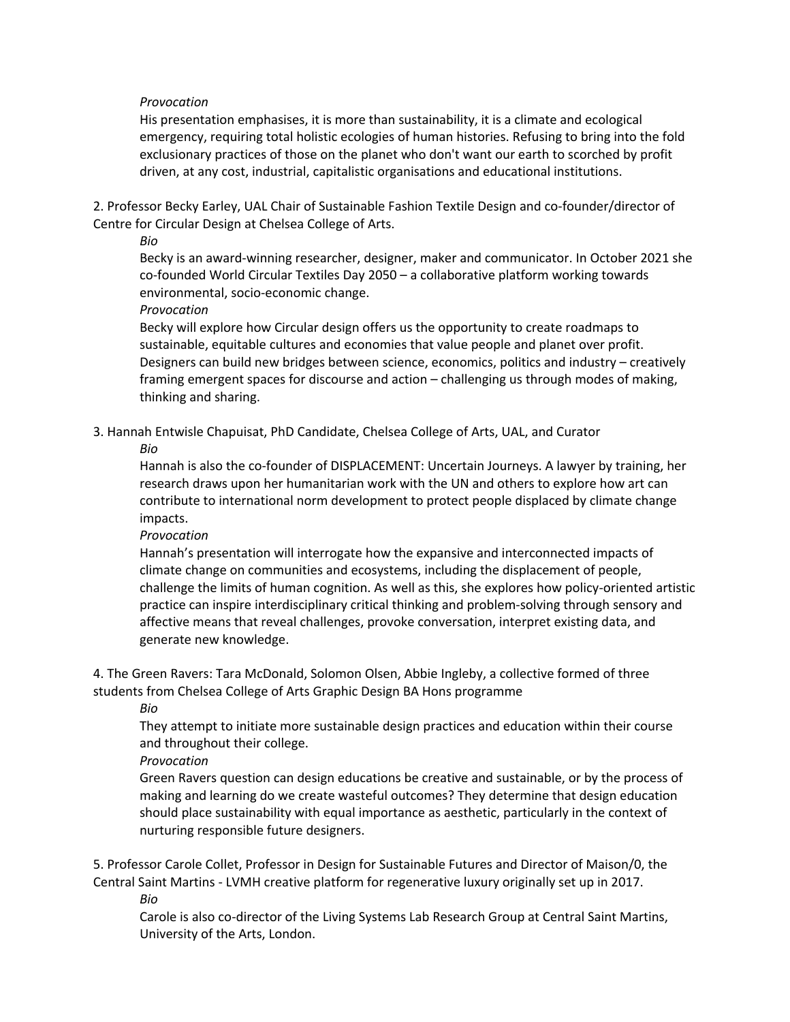# *Provocation*

His presentation emphasises, it is more than sustainability, it is a climate and ecological emergency, requiring total holistic ecologies of human histories. Refusing to bring into the fold exclusionary practices of those on the planet who don't want our earth to scorched by profit driven, at any cost, industrial, capitalistic organisations and educational institutions.

2. Professor Becky Earley, UAL Chair of Sustainable Fashion Textile Design and co-founder/director of Centre for Circular Design at Chelsea College of Arts.

*Bio* 

Becky is an award-winning researcher, designer, maker and communicator. In October 2021 she co-founded World Circular Textiles Day 2050 – a collaborative platform working towards environmental, socio-economic change.

*Provocation* 

Becky will explore how Circular design offers us the opportunity to create roadmaps to sustainable, equitable cultures and economies that value people and planet over profit. Designers can build new bridges between science, economics, politics and industry – creatively framing emergent spaces for discourse and action – challenging us through modes of making, thinking and sharing.

3. Hannah Entwisle Chapuisat, PhD Candidate, Chelsea College of Arts, UAL, and Curator

*Bio* 

Hannah is also the co-founder of DISPLACEMENT: Uncertain Journeys. A lawyer by training, her research draws upon her humanitarian work with the UN and others to explore how art can contribute to international norm development to protect people displaced by climate change impacts.

*Provocation* 

Hannah's presentation will interrogate how the expansive and interconnected impacts of climate change on communities and ecosystems, including the displacement of people, challenge the limits of human cognition. As well as this, she explores how policy-oriented artistic practice can inspire interdisciplinary critical thinking and problem-solving through sensory and affective means that reveal challenges, provoke conversation, interpret existing data, and generate new knowledge.

4. The Green Ravers: Tara McDonald, Solomon Olsen, Abbie Ingleby, a collective formed of three students from Chelsea College of Arts Graphic Design BA Hons programme

*Bio* 

They attempt to initiate more sustainable design practices and education within their course and throughout their college.

*Provocation* 

Green Ravers question can design educations be creative and sustainable, or by the process of making and learning do we create wasteful outcomes? They determine that design education should place sustainability with equal importance as aesthetic, particularly in the context of nurturing responsible future designers.

5. Professor Carole Collet, Professor in Design for Sustainable Futures and Director of Maison/0, the Central Saint Martins - LVMH creative platform for regenerative luxury originally set up in 2017.

*Bio* 

Carole is also co-director of the Living Systems Lab Research Group at Central Saint Martins, University of the Arts, London.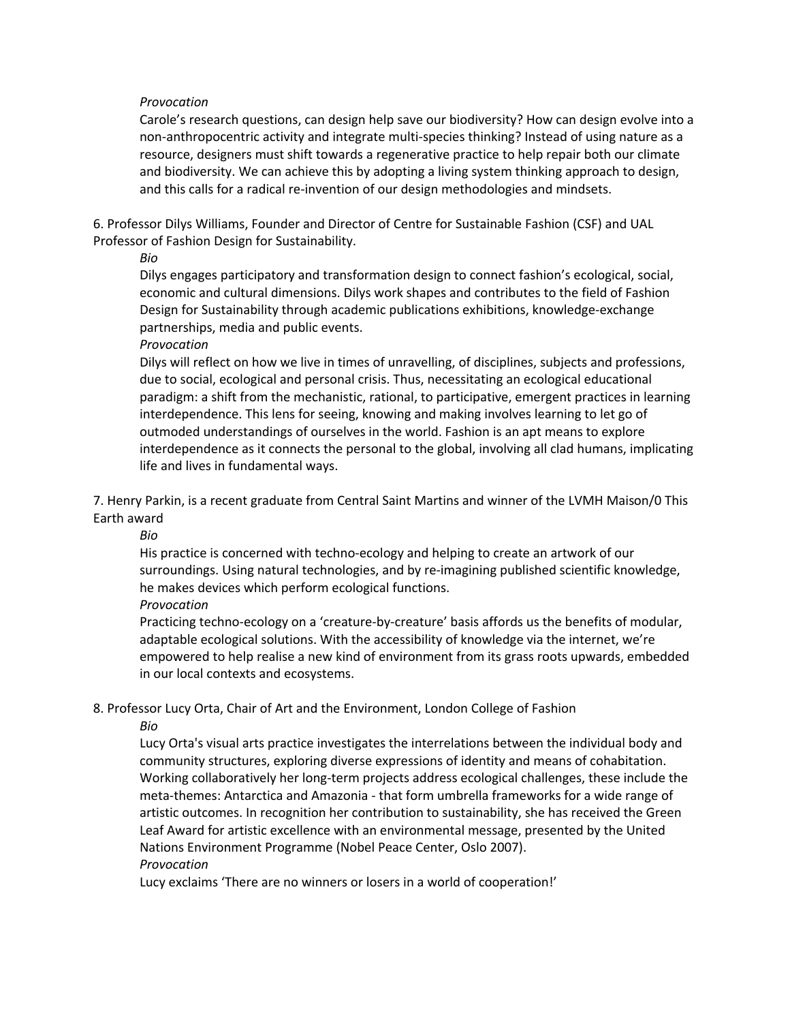# *Provocation*

Carole's research questions, can design help save our biodiversity? How can design evolve into a non-anthropocentric activity and integrate multi-species thinking? Instead of using nature as a resource, designers must shift towards a regenerative practice to help repair both our climate and biodiversity. We can achieve this by adopting a living system thinking approach to design, and this calls for a radical re-invention of our design methodologies and mindsets.

6. Professor Dilys Williams, Founder and Director of Centre for Sustainable Fashion (CSF) and UAL Professor of Fashion Design for Sustainability.

*Bio* 

Dilys engages participatory and transformation design to connect fashion's ecological, social, economic and cultural dimensions. Dilys work shapes and contributes to the field of Fashion Design for Sustainability through academic publications exhibitions, knowledge-exchange partnerships, media and public events.

*Provocation* 

Dilys will reflect on how we live in times of unravelling, of disciplines, subjects and professions, due to social, ecological and personal crisis. Thus, necessitating an ecological educational paradigm: a shift from the mechanistic, rational, to participative, emergent practices in learning interdependence. This lens for seeing, knowing and making involves learning to let go of outmoded understandings of ourselves in the world. Fashion is an apt means to explore interdependence as it connects the personal to the global, involving all clad humans, implicating life and lives in fundamental ways.

7. Henry Parkin, is a recent graduate from Central Saint Martins and winner of the LVMH Maison/0 This Earth award

*Bio* 

His practice is concerned with techno-ecology and helping to create an artwork of our surroundings. Using natural technologies, and by re-imagining published scientific knowledge, he makes devices which perform ecological functions.

*Provocation* 

Practicing techno-ecology on a 'creature-by-creature' basis affords us the benefits of modular, adaptable ecological solutions. With the accessibility of knowledge via the internet, we're empowered to help realise a new kind of environment from its grass roots upwards, embedded in our local contexts and ecosystems.

8. Professor Lucy Orta, Chair of Art and the Environment, London College of Fashion

*Bio* 

Lucy Orta's visual arts practice investigates the interrelations between the individual body and community structures, exploring diverse expressions of identity and means of cohabitation. Working collaboratively her long-term projects address ecological challenges, these include the meta-themes: Antarctica and Amazonia - that form umbrella frameworks for a wide range of artistic outcomes. In recognition her contribution to sustainability, she has received the Green Leaf Award for artistic excellence with an environmental message, presented by the United Nations Environment Programme (Nobel Peace Center, Oslo 2007).

*Provocation* 

Lucy exclaims 'There are no winners or losers in a world of cooperation!'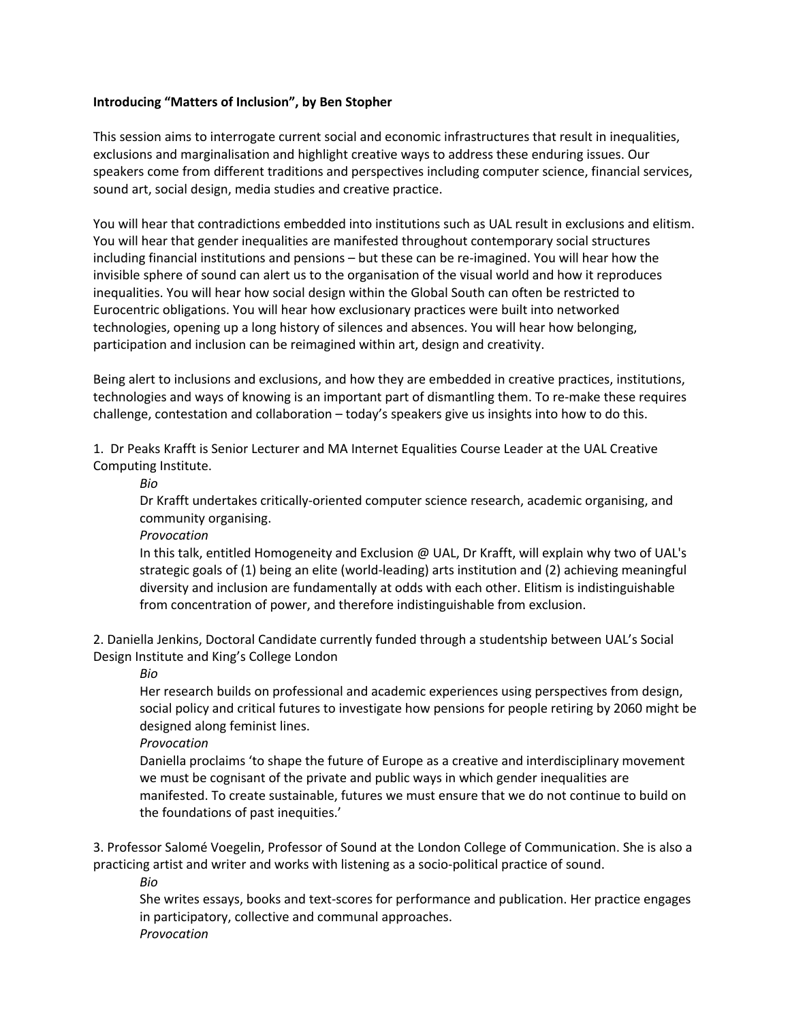# **Introducing "Matters of Inclusion", by Ben Stopher**

This session aims to interrogate current social and economic infrastructures that result in inequalities, exclusions and marginalisation and highlight creative ways to address these enduring issues. Our speakers come from different traditions and perspectives including computer science, financial services, sound art, social design, media studies and creative practice.

You will hear that contradictions embedded into institutions such as UAL result in exclusions and elitism. You will hear that gender inequalities are manifested throughout contemporary social structures including financial institutions and pensions – but these can be re-imagined. You will hear how the invisible sphere of sound can alert us to the organisation of the visual world and how it reproduces inequalities. You will hear how social design within the Global South can often be restricted to Eurocentric obligations. You will hear how exclusionary practices were built into networked technologies, opening up a long history of silences and absences. You will hear how belonging, participation and inclusion can be reimagined within art, design and creativity.

Being alert to inclusions and exclusions, and how they are embedded in creative practices, institutions, technologies and ways of knowing is an important part of dismantling them. To re-make these requires challenge, contestation and collaboration – today's speakers give us insights into how to do this.

1. Dr Peaks Krafft is Senior Lecturer and MA Internet Equalities Course Leader at the UAL Creative Computing Institute.

*Bio* 

Dr Krafft undertakes critically-oriented computer science research, academic organising, and community organising.

*Provocation* 

In this talk, entitled Homogeneity and Exclusion @ UAL, Dr Krafft, will explain why two of UAL's strategic goals of (1) being an elite (world-leading) arts institution and (2) achieving meaningful diversity and inclusion are fundamentally at odds with each other. Elitism is indistinguishable from concentration of power, and therefore indistinguishable from exclusion.

2. Daniella Jenkins, Doctoral Candidate currently funded through a studentship between UAL's Social Design Institute and King's College London

*Bio* 

Her research builds on professional and academic experiences using perspectives from design, social policy and critical futures to investigate how pensions for people retiring by 2060 might be designed along feminist lines.

*Provocation* 

Daniella proclaims 'to shape the future of Europe as a creative and interdisciplinary movement we must be cognisant of the private and public ways in which gender inequalities are manifested. To create sustainable, futures we must ensure that we do not continue to build on the foundations of past inequities.'

3. Professor Salomé Voegelin, Professor of Sound at the London College of Communication. She is also a practicing artist and writer and works with listening as a socio-political practice of sound.

*Bio* 

She writes essays, books and text-scores for performance and publication. Her practice engages in participatory, collective and communal approaches. *Provocation*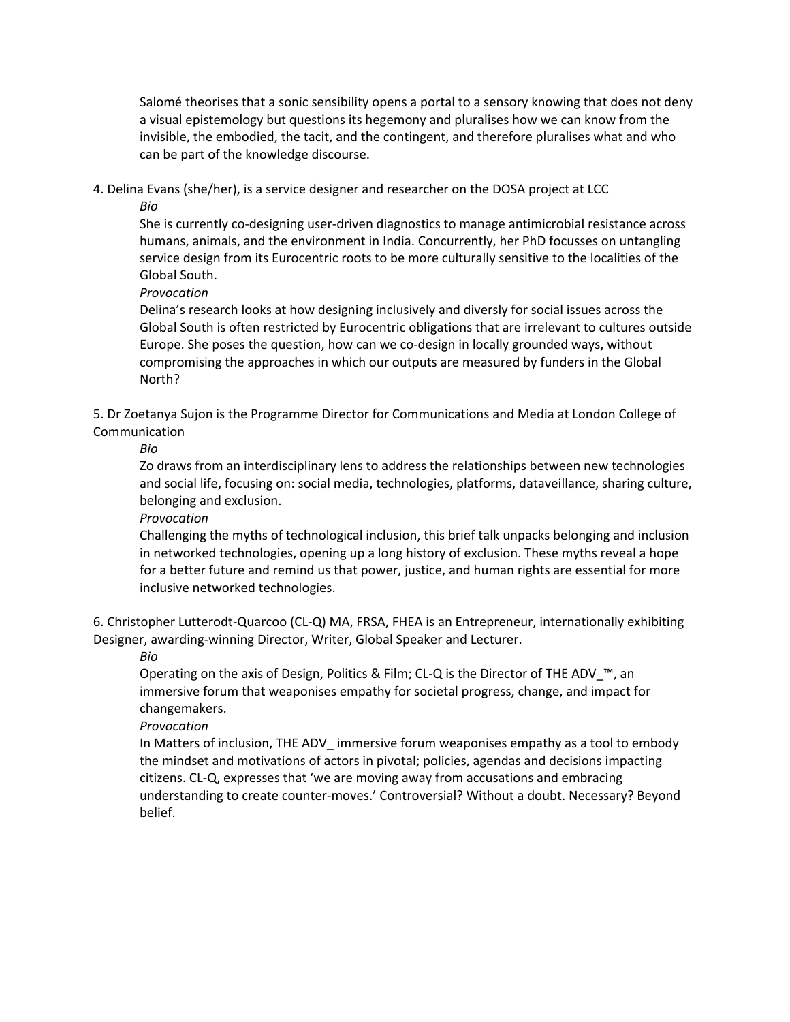Salomé theorises that a sonic sensibility opens a portal to a sensory knowing that does not deny a visual epistemology but questions its hegemony and pluralises how we can know from the invisible, the embodied, the tacit, and the contingent, and therefore pluralises what and who can be part of the knowledge discourse.

4. Delina Evans (she/her), is a service designer and researcher on the DOSA project at LCC

*Bio* 

She is currently co-designing user-driven diagnostics to manage antimicrobial resistance across humans, animals, and the environment in India. Concurrently, her PhD focusses on untangling service design from its Eurocentric roots to be more culturally sensitive to the localities of the Global South.

*Provocation* 

Delina's research looks at how designing inclusively and diversly for social issues across the Global South is often restricted by Eurocentric obligations that are irrelevant to cultures outside Europe. She poses the question, how can we co-design in locally grounded ways, without compromising the approaches in which our outputs are measured by funders in the Global North?

5. Dr Zoetanya Sujon is the Programme Director for Communications and Media at London College of Communication

*Bio* 

Zo draws from an interdisciplinary lens to address the relationships between new technologies and social life, focusing on: social media, technologies, platforms, dataveillance, sharing culture, belonging and exclusion.

*Provocation* 

Challenging the myths of technological inclusion, this brief talk unpacks belonging and inclusion in networked technologies, opening up a long history of exclusion. These myths reveal a hope for a better future and remind us that power, justice, and human rights are essential for more inclusive networked technologies.

6. Christopher Lutterodt-Quarcoo (CL-Q) MA, FRSA, FHEA is an Entrepreneur, internationally exhibiting Designer, awarding-winning Director, Writer, Global Speaker and Lecturer.

*Bio* 

Operating on the axis of Design, Politics & Film; CL-Q is the Director of THE ADV\_™, an immersive forum that weaponises empathy for societal progress, change, and impact for changemakers.

*Provocation* 

In Matters of inclusion, THE ADV\_ immersive forum weaponises empathy as a tool to embody the mindset and motivations of actors in pivotal; policies, agendas and decisions impacting citizens. CL-Q, expresses that 'we are moving away from accusations and embracing understanding to create counter-moves.' Controversial? Without a doubt. Necessary? Beyond belief.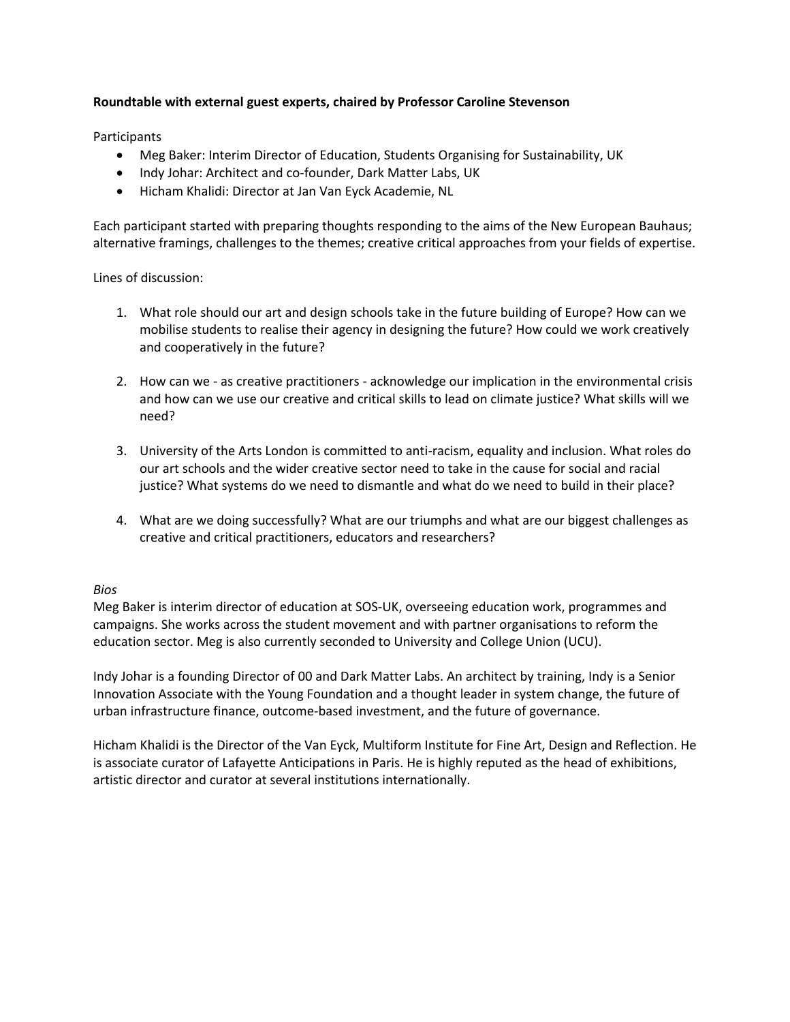# **Roundtable with external guest experts, chaired by Professor Caroline Stevenson**

# **Participants**

- Meg Baker: Interim Director of Education, Students Organising for Sustainability, UK
- Indy Johar: Architect and co-founder, Dark Matter Labs, UK
- Hicham Khalidi: Director at Jan Van Eyck Academie, NL

Each participant started with preparing thoughts responding to the aims of the New European Bauhaus; alternative framings, challenges to the themes; creative critical approaches from your fields of expertise.

Lines of discussion:

- 1. What role should our art and design schools take in the future building of Europe? How can we mobilise students to realise their agency in designing the future? How could we work creatively and cooperatively in the future?
- 2. How can we as creative practitioners acknowledge our implication in the environmental crisis and how can we use our creative and critical skills to lead on climate justice? What skills will we need?
- 3. University of the Arts London is committed to anti-racism, equality and inclusion. What roles do our art schools and the wider creative sector need to take in the cause for social and racial justice? What systems do we need to dismantle and what do we need to build in their place?
- 4. What are we doing successfully? What are our triumphs and what are our biggest challenges as creative and critical practitioners, educators and researchers?

# *Bios*

Meg Baker is interim director of education at SOS-UK, overseeing education work, programmes and campaigns. She works across the student movement and with partner organisations to reform the education sector. Meg is also currently seconded to University and College Union (UCU).

Indy Johar is a founding Director of 00 and Dark Matter Labs. An architect by training, Indy is a Senior Innovation Associate with the Young Foundation and a thought leader in system change, the future of urban infrastructure finance, outcome-based investment, and the future of governance.

Hicham Khalidi is the Director of the Van Eyck, Multiform Institute for Fine Art, Design and Reflection. He is associate curator of Lafayette Anticipations in Paris. He is highly reputed as the head of exhibitions, artistic director and curator at several institutions internationally.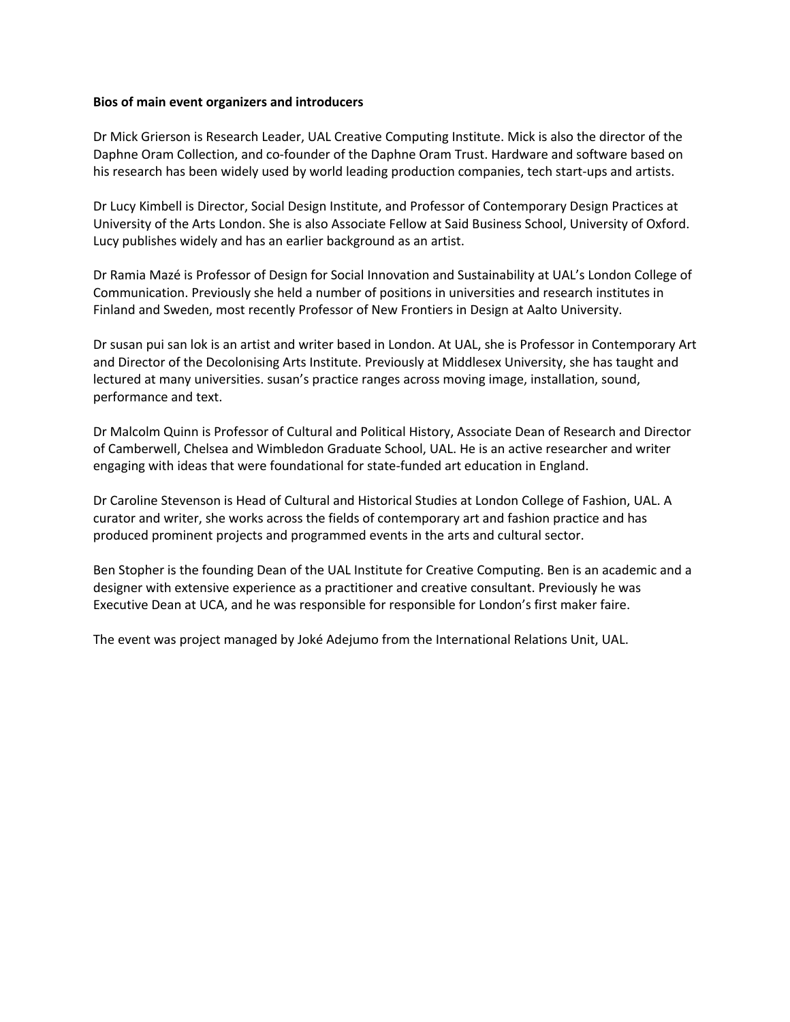#### **Bios of main event organizers and introducers**

Dr Mick Grierson is Research Leader, UAL Creative Computing Institute. Mick is also the director of the Daphne Oram Collection, and co-founder of the Daphne Oram Trust. Hardware and software based on his research has been widely used by world leading production companies, tech start-ups and artists.

Dr Lucy Kimbell is Director, Social Design Institute, and Professor of Contemporary Design Practices at University of the Arts London. She is also Associate Fellow at Said Business School, University of Oxford. Lucy publishes widely and has an earlier background as an artist.

Dr Ramia Mazé is Professor of Design for Social Innovation and Sustainability at UAL's London College of Communication. Previously she held a number of positions in universities and research institutes in Finland and Sweden, most recently Professor of New Frontiers in Design at Aalto University.

Dr susan pui san lok is an artist and writer based in London. At UAL, she is Professor in Contemporary Art and Director of the Decolonising Arts Institute. Previously at Middlesex University, she has taught and lectured at many universities. susan's practice ranges across moving image, installation, sound, performance and text.

Dr Malcolm Quinn is Professor of Cultural and Political History, Associate Dean of Research and Director of Camberwell, Chelsea and Wimbledon Graduate School, UAL. He is an active researcher and writer engaging with ideas that were foundational for state-funded art education in England.

Dr Caroline Stevenson is Head of Cultural and Historical Studies at London College of Fashion, UAL. A curator and writer, she works across the fields of contemporary art and fashion practice and has produced prominent projects and programmed events in the arts and cultural sector.

Ben Stopher is the founding Dean of the UAL Institute for Creative Computing. Ben is an academic and a designer with extensive experience as a practitioner and creative consultant. Previously he was Executive Dean at UCA, and he was responsible for responsible for London's first maker faire.

The event was project managed by Joké Adejumo from the International Relations Unit, UAL.